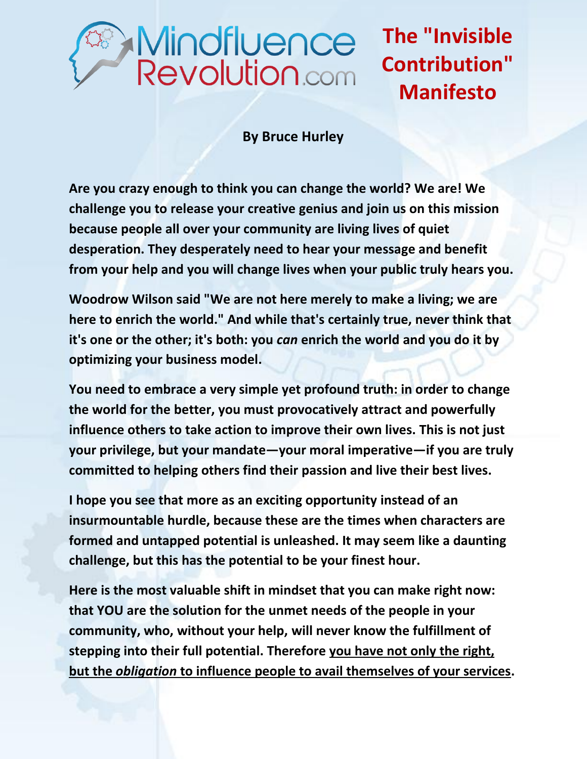## Mindfluence<br>Revolution.com

**The "Invisible Contribution" Manifesto**

## **By Bruce Hurley**

**Are you crazy enough to think you can change the world? We are! We challenge you to release your creative genius and join us on this mission because people all over your community are living lives of quiet desperation. They desperately need to hear your message and benefit from your help and you will change lives when your public truly hears you.** 

**Woodrow Wilson said "We are not here merely to make a living; we are here to enrich the world." And while that's certainly true, never think that it's one or the other; it's both: you** *can* **enrich the world and you do it by optimizing your business model.** 

**You need to embrace a very simple yet profound truth: in order to change the world for the better, you must provocatively attract and powerfully influence others to take action to improve their own lives. This is not just your privilege, but your mandate—your moral imperative—if you are truly committed to helping others find their passion and live their best lives.** 

**I hope you see that more as an exciting opportunity instead of an insurmountable hurdle, because these are the times when characters are formed and untapped potential is unleashed. It may seem like a daunting challenge, but this has the potential to be your finest hour.** 

**Here is the most valuable shift in mindset that you can make right now: that YOU are the solution for the unmet needs of the people in your community, who, without your help, will never know the fulfillment of stepping into their full potential. Therefore you have not only the right, but the** *obligation* **to influence people to avail themselves of your services.**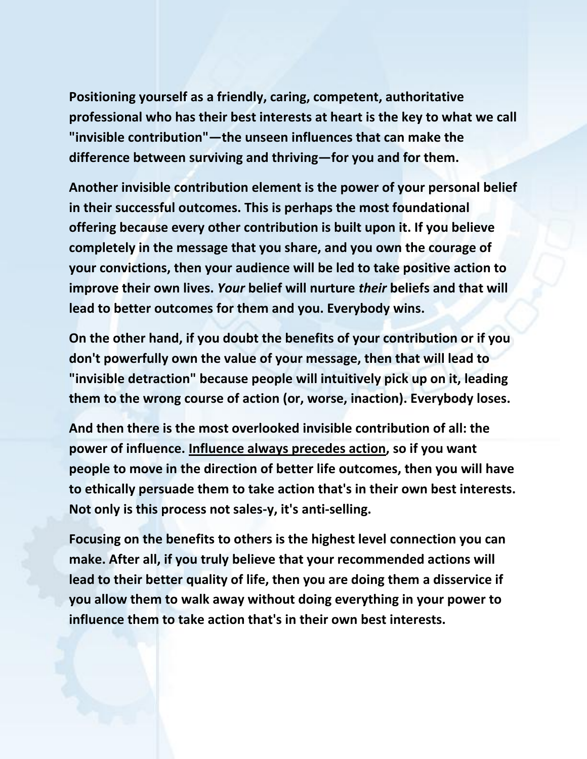**Positioning yourself as a friendly, caring, competent, authoritative professional who has their best interests at heart is the key to what we call "invisible contribution"—the unseen influences that can make the difference between surviving and thriving—for you and for them.** 

**Another invisible contribution element is the power of your personal belief in their successful outcomes. This is perhaps the most foundational offering because every other contribution is built upon it. If you believe completely in the message that you share, and you own the courage of your convictions, then your audience will be led to take positive action to improve their own lives.** *Your* **belief will nurture** *their* **beliefs and that will lead to better outcomes for them and you. Everybody wins.**

**On the other hand, if you doubt the benefits of your contribution or if you don't powerfully own the value of your message, then that will lead to "invisible detraction" because people will intuitively pick up on it, leading them to the wrong course of action (or, worse, inaction). Everybody loses.** 

**And then there is the most overlooked invisible contribution of all: the power of influence. Influence always precedes action, so if you want people to move in the direction of better life outcomes, then you will have to ethically persuade them to take action that's in their own best interests. Not only is this process not sales-y, it's anti-selling.** 

**Focusing on the benefits to others is the highest level connection you can make. After all, if you truly believe that your recommended actions will lead to their better quality of life, then you are doing them a disservice if you allow them to walk away without doing everything in your power to influence them to take action that's in their own best interests.**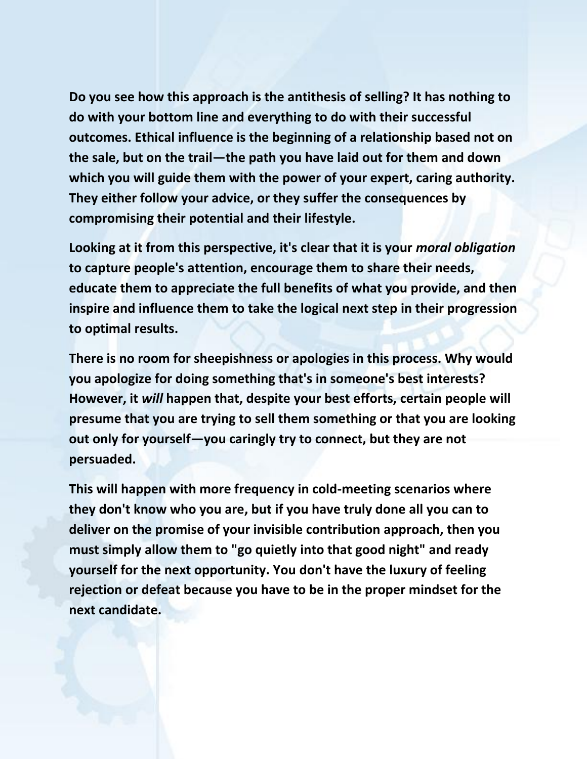**Do you see how this approach is the antithesis of selling? It has nothing to do with your bottom line and everything to do with their successful outcomes. Ethical influence is the beginning of a relationship based not on the sale, but on the trail—the path you have laid out for them and down which you will guide them with the power of your expert, caring authority. They either follow your advice, or they suffer the consequences by compromising their potential and their lifestyle.** 

**Looking at it from this perspective, it's clear that it is your** *moral obligation* **to capture people's attention, encourage them to share their needs, educate them to appreciate the full benefits of what you provide, and then inspire and influence them to take the logical next step in their progression to optimal results.** 

**There is no room for sheepishness or apologies in this process. Why would you apologize for doing something that's in someone's best interests? However, it** *will* **happen that, despite your best efforts, certain people will presume that you are trying to sell them something or that you are looking out only for yourself—you caringly try to connect, but they are not persuaded.** 

**This will happen with more frequency in cold-meeting scenarios where they don't know who you are, but if you have truly done all you can to deliver on the promise of your invisible contribution approach, then you must simply allow them to "go quietly into that good night" and ready yourself for the next opportunity. You don't have the luxury of feeling rejection or defeat because you have to be in the proper mindset for the next candidate.**